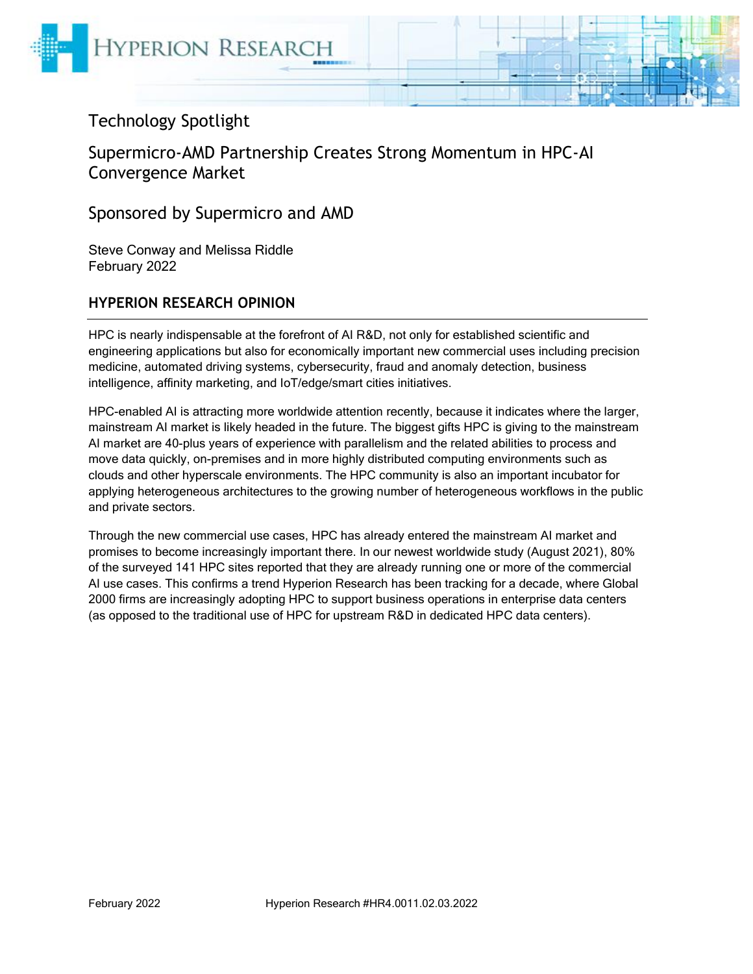

# Technology Spotlight

Supermicro-AMD Partnership Creates Strong Momentum in HPC-AI Convergence Market

Sponsored by Supermicro and AMD

Steve Conway and Melissa Riddle February 2022

#### **HYPERION RESEARCH OPINION**

HPC is nearly indispensable at the forefront of AI R&D, not only for established scientific and engineering applications but also for economically important new commercial uses including precision medicine, automated driving systems, cybersecurity, fraud and anomaly detection, business intelligence, affinity marketing, and IoT/edge/smart cities initiatives.

HPC-enabled AI is attracting more worldwide attention recently, because it indicates where the larger, mainstream AI market is likely headed in the future. The biggest gifts HPC is giving to the mainstream AI market are 40-plus years of experience with parallelism and the related abilities to process and move data quickly, on-premises and in more highly distributed computing environments such as clouds and other hyperscale environments. The HPC community is also an important incubator for applying heterogeneous architectures to the growing number of heterogeneous workflows in the public and private sectors.

Through the new commercial use cases, HPC has already entered the mainstream AI market and promises to become increasingly important there. In our newest worldwide study (August 2021), 80% of the surveyed 141 HPC sites reported that they are already running one or more of the commercial AI use cases. This confirms a trend Hyperion Research has been tracking for a decade, where Global 2000 firms are increasingly adopting HPC to support business operations in enterprise data centers (as opposed to the traditional use of HPC for upstream R&D in dedicated HPC data centers).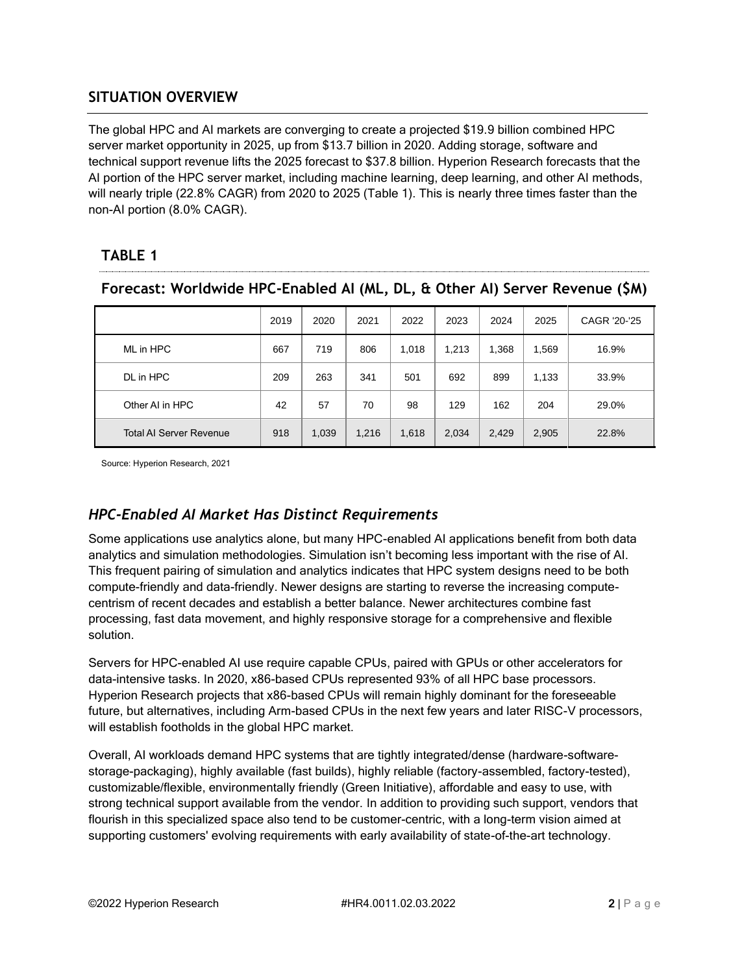#### **SITUATION OVERVIEW**

The global HPC and AI markets are converging to create a projected \$19.9 billion combined HPC server market opportunity in 2025, up from \$13.7 billion in 2020. Adding storage, software and technical support revenue lifts the 2025 forecast to \$37.8 billion. Hyperion Research forecasts that the AI portion of the HPC server market, including machine learning, deep learning, and other AI methods, will nearly triple (22.8% CAGR) from 2020 to 2025 (Table 1). This is nearly three times faster than the non-AI portion (8.0% CAGR).

## **TABLE 1**

| rorecast; worldwide πPC-Enabled AF(ML, DL, α Other AI) Server Revenue (3M) |      |       |       |       |       |       |       |              |
|----------------------------------------------------------------------------|------|-------|-------|-------|-------|-------|-------|--------------|
|                                                                            | 2019 | 2020  | 2021  | 2022  | 2023  | 2024  | 2025  | CAGR '20-'25 |
| ML in HPC                                                                  | 667  | 719   | 806   | 1,018 | 1.213 | 1,368 | 1,569 | 16.9%        |
| DL in HPC                                                                  | 209  | 263   | 341   | 501   | 692   | 899   | 1.133 | 33.9%        |
| Other AI in HPC                                                            | 42   | 57    | 70    | 98    | 129   | 162   | 204   | 29.0%        |
| <b>Total AI Server Revenue</b>                                             | 918  | 1,039 | 1,216 | 1,618 | 2,034 | 2,429 | 2,905 | 22.8%        |

# **Forecast: Worldwide HPC-Enabled AI (ML, DL, & Other AI) Server Revenue (\$M)**

Source: Hyperion Research, 2021

### *HPC-Enabled AI Market Has Distinct Requirements*

Some applications use analytics alone, but many HPC-enabled AI applications benefit from both data analytics and simulation methodologies. Simulation isn't becoming less important with the rise of AI. This frequent pairing of simulation and analytics indicates that HPC system designs need to be both compute-friendly and data-friendly. Newer designs are starting to reverse the increasing computecentrism of recent decades and establish a better balance. Newer architectures combine fast processing, fast data movement, and highly responsive storage for a comprehensive and flexible solution.

Servers for HPC-enabled AI use require capable CPUs, paired with GPUs or other accelerators for data-intensive tasks. In 2020, x86-based CPUs represented 93% of all HPC base processors. Hyperion Research projects that x86-based CPUs will remain highly dominant for the foreseeable future, but alternatives, including Arm-based CPUs in the next few years and later RISC-V processors, will establish footholds in the global HPC market.

Overall, AI workloads demand HPC systems that are tightly integrated/dense (hardware-softwarestorage-packaging), highly available (fast builds), highly reliable (factory-assembled, factory-tested), customizable/flexible, environmentally friendly (Green Initiative), affordable and easy to use, with strong technical support available from the vendor. In addition to providing such support, vendors that flourish in this specialized space also tend to be customer-centric, with a long-term vision aimed at supporting customers' evolving requirements with early availability of state-of-the-art technology.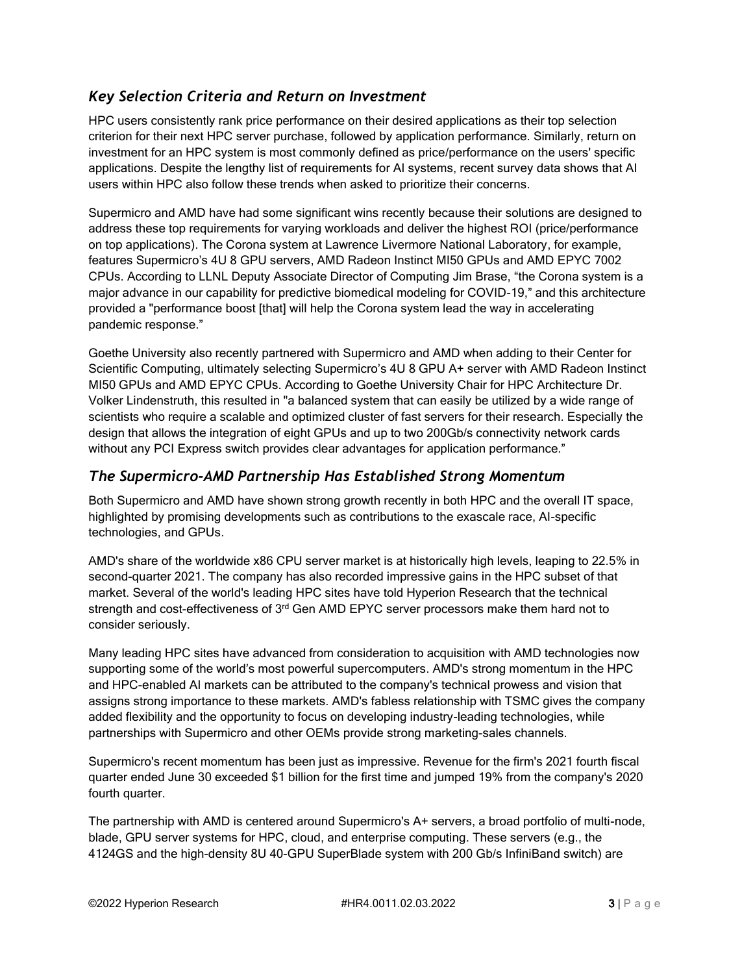#### *Key Selection Criteria and Return on Investment*

HPC users consistently rank price performance on their desired applications as their top selection criterion for their next HPC server purchase, followed by application performance. Similarly, return on investment for an HPC system is most commonly defined as price/performance on the users' specific applications. Despite the lengthy list of requirements for AI systems, recent survey data shows that AI users within HPC also follow these trends when asked to prioritize their concerns.

Supermicro and AMD have had some significant wins recently because their solutions are designed to address these top requirements for varying workloads and deliver the highest ROI (price/performance on top applications). The Corona system at Lawrence Livermore National Laboratory, for example, features Supermicro's 4U 8 GPU servers, AMD Radeon Instinct MI50 GPUs and AMD EPYC 7002 CPUs. According to LLNL Deputy Associate Director of Computing Jim Brase, "the Corona system is a major advance in our capability for predictive biomedical modeling for COVID-19," and this architecture provided a "performance boost [that] will help the Corona system lead the way in accelerating pandemic response."

Goethe University also recently partnered with Supermicro and AMD when adding to their Center for Scientific Computing, ultimately selecting Supermicro's 4U 8 GPU A+ server with AMD Radeon Instinct MI50 GPUs and AMD EPYC CPUs. According to Goethe University Chair for HPC Architecture Dr. Volker Lindenstruth, this resulted in "a balanced system that can easily be utilized by a wide range of scientists who require a scalable and optimized cluster of fast servers for their research. Especially the design that allows the integration of eight GPUs and up to two 200Gb/s connectivity network cards without any PCI Express switch provides clear advantages for application performance."

#### *The Supermicro-AMD Partnership Has Established Strong Momentum*

Both Supermicro and AMD have shown strong growth recently in both HPC and the overall IT space, highlighted by promising developments such as contributions to the exascale race, AI-specific technologies, and GPUs.

AMD's share of the worldwide x86 CPU server market is at historically high levels, leaping to 22.5% in second-quarter 2021. The company has also recorded impressive gains in the HPC subset of that market. Several of the world's leading HPC sites have told Hyperion Research that the technical strength and cost-effectiveness of 3<sup>rd</sup> Gen AMD EPYC server processors make them hard not to consider seriously.

Many leading HPC sites have advanced from consideration to acquisition with AMD technologies now supporting some of the world's most powerful supercomputers. AMD's strong momentum in the HPC and HPC-enabled AI markets can be attributed to the company's technical prowess and vision that assigns strong importance to these markets. AMD's fabless relationship with TSMC gives the company added flexibility and the opportunity to focus on developing industry-leading technologies, while partnerships with Supermicro and other OEMs provide strong marketing-sales channels.

Supermicro's recent momentum has been just as impressive. Revenue for the firm's 2021 fourth fiscal quarter ended June 30 exceeded \$1 billion for the first time and jumped 19% from the company's 2020 fourth quarter.

The partnership with AMD is centered around Supermicro's A+ servers, a broad portfolio of multi-node, blade, GPU server systems for HPC, cloud, and enterprise computing. These servers (e.g., the 4124GS and the high-density 8U 40-GPU SuperBlade system with 200 Gb/s InfiniBand switch) are